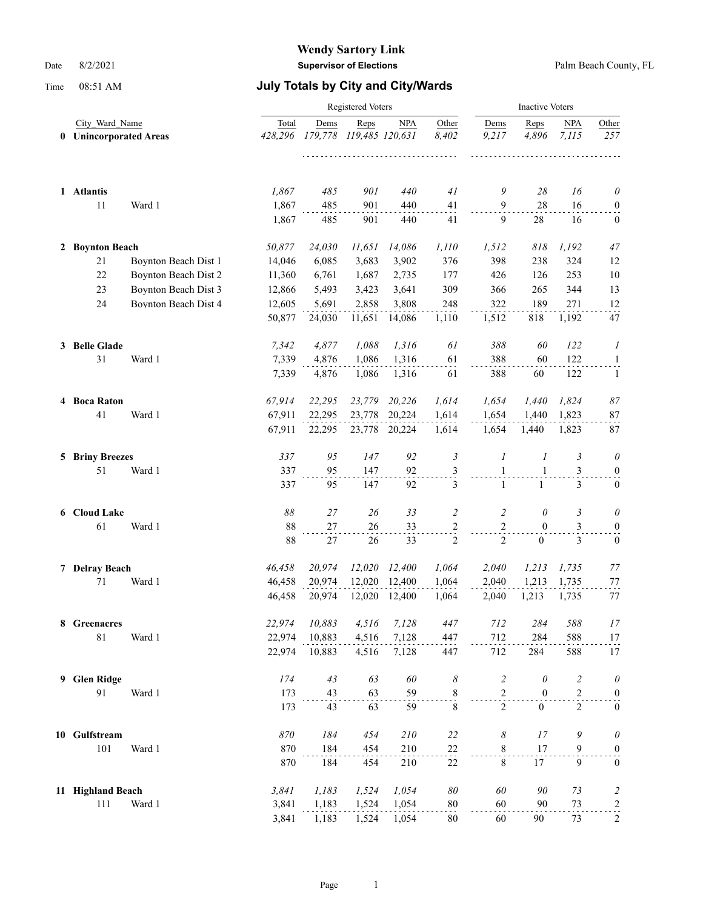|              |                   |                                               |                | <b>Inactive Voters</b> |            |                               |                     |                              |                              |                     |                                  |
|--------------|-------------------|-----------------------------------------------|----------------|------------------------|------------|-------------------------------|---------------------|------------------------------|------------------------------|---------------------|----------------------------------|
| $\mathbf{0}$ |                   | City Ward Name<br><b>Unincorporated Areas</b> |                | Dems<br>179,778        | Reps       | <b>NPA</b><br>119,485 120,631 | Other<br>8,402<br>. | Dems<br>9,217                | Reps<br>4,896                | <b>NPA</b><br>7.115 | Other<br>257                     |
|              | 1 Atlantis        |                                               | 1,867          | 485                    | 901        | 440                           | 41                  | 9                            | 28                           | 16                  | $\theta$                         |
|              | 11                | Ward 1                                        | 1,867<br>1,867 | 485<br>485             | 901<br>901 | 440<br>440                    | 41<br>41            | 9<br>9                       | 28<br>28                     | 16<br>16            | $\boldsymbol{0}$<br>$\mathbf{0}$ |
|              | 2 Boynton Beach   |                                               | 50,877         | 24,030                 | 11,651     | 14,086                        | 1,110               | 1,512                        | 818                          | 1,192               | 47                               |
|              | 21                | Boynton Beach Dist 1                          | 14,046         | 6,085                  | 3,683      | 3,902                         | 376                 | 398                          | 238                          | 324                 | 12                               |
|              | 22                | Boynton Beach Dist 2                          | 11,360         | 6,761                  | 1,687      | 2,735                         | 177                 | 426                          | 126                          | 253                 | 10                               |
|              | 23                | Boynton Beach Dist 3                          | 12,866         | 5,493                  | 3,423      | 3,641                         | 309                 | 366                          | 265                          | 344                 | 13                               |
|              | 24                | Boynton Beach Dist 4                          | 12,605         | 5,691                  | 2,858      | 3,808                         | 248                 | 322                          | 189                          | 271                 | 12                               |
|              |                   |                                               | 50,877         | 24,030                 | 11,651     | 14,086                        | 1,110               | 1,512                        | 818                          | 1,192               | 47                               |
|              | 3 Belle Glade     |                                               | 7,342          | 4,877                  | 1,088      | 1,316                         | 61                  | 388                          | 60                           | 122                 | 1                                |
|              | 31                | Ward 1                                        | 7,339          | 4,876                  | 1,086      | 1,316                         | 61                  | 388                          | 60                           | 122                 | $\overline{1}$                   |
|              |                   |                                               | 7,339          | 4,876                  | 1,086      | 1,316                         | 61                  | 388                          | 60                           | 122                 | -1                               |
|              | 4 Boca Raton      |                                               | 67,914         | 22,295                 | 23,779     | 20,226                        | 1,614               | 1,654                        | 1,440                        | 1,824               | $\mathcal{87}$                   |
|              | 41                | Ward 1                                        | 67,911         | 22,295                 | 23,778     | 20,224                        | 1,614               | 1,654                        | 1.440                        | 1,823               | $87\,$                           |
|              |                   |                                               | 67,911         | 22,295                 |            | 23,778 20,224                 | 1,614               | 1,654                        | 1,440                        | 1,823               | 87                               |
|              | 5 Briny Breezes   |                                               | 337            | 95                     | 147        | 92                            | $\mathfrak{Z}$      | 1                            | 1                            | 3                   | $\theta$                         |
|              | 51                | Ward 1                                        | 337<br>337     | 95<br>95               | 147<br>147 | 92<br>92                      | 3<br>3              | $\mathbf{1}$<br>$\mathbf{1}$ | $\mathbf{1}$<br>$\mathbf{1}$ | 3<br>3              | $\boldsymbol{0}$<br>$\mathbf{0}$ |
|              |                   |                                               |                |                        |            |                               |                     |                              |                              |                     |                                  |
|              | 6 Cloud Lake      |                                               | 88             | 27                     | 26         | 33                            | $\overline{2}$      | 2                            | 0                            | 3                   | $\theta$                         |
|              | 61                | Ward 1                                        | 88             | 27                     | 26         | 33                            | $\frac{2}{1}$       | $\sqrt{2}$                   | $\mathbf{0}$                 | 3                   | $\boldsymbol{0}$                 |
|              |                   |                                               | 88             | $27\,$                 | 26         | 33                            | $\mathbf{2}$        | $\overline{2}$               | $\overline{0}$               | 3                   | $\boldsymbol{0}$                 |
|              | 7 Delray Beach    |                                               | 46,458         | 20,974                 | 12,020     | 12,400                        | 1,064               | 2,040                        | 1,213                        | 1,735               | 77                               |
|              | 71                | Ward 1                                        | 46,458         | 20,974                 | 12,020     | 12,400                        | 1,064               | 2,040                        | 1,213                        | 1,735               | 77                               |
|              |                   |                                               | 46,458         | 20,974                 | 12,020     | 12,400                        | 1,064               | 2,040                        | 1,213                        | 1,735               | 77                               |
|              | 8 Greenacres      |                                               | 22,974         | 10,883                 | 4,516      | 7,128                         | 447                 | 712                          | 284                          | 588                 | 17                               |
|              | $81\,$            | Ward 1                                        | 22,974         | 10,883                 | 4,516      | 7,128                         | 447                 | 712                          | 284                          | 588                 | $17\,$                           |
|              |                   |                                               | 22,974         | 10,883                 | 4,516      | 7,128                         | 447                 | 712                          | 284                          | 588                 | 17                               |
| 9.           | <b>Glen Ridge</b> |                                               | 174            | 43                     | 63         | 60                            | 8                   | $\overline{c}$               | $\theta$                     | $\overline{c}$      | $\theta$                         |
|              | 91                | Ward 1                                        | 173            | 43                     | 63         | 59                            | $\frac{8}{1}$       | $\overline{c}$               | $\boldsymbol{0}$             | $\overline{c}$      | $\boldsymbol{0}$                 |
|              |                   |                                               | 173            | 43                     | 63         | 59                            | $\,$ 8 $\,$         | $\overline{2}$               | $\boldsymbol{0}$             | $\overline{c}$      | $\boldsymbol{0}$                 |
|              | 10 Gulfstream     |                                               | 870            | 184                    | 454        | 210                           | 22                  | 8                            | 17                           | 9                   | $\theta$                         |
|              | 101               | Ward 1                                        | 870            | 184                    | 454        | 210                           | $^{22}$             | 8                            | 17                           | 9                   | $\boldsymbol{0}$                 |
|              |                   |                                               | 870            | 184                    | 454        | 210                           | 22                  | $\,8\,$                      | 17                           | 9                   | $\boldsymbol{0}$                 |
|              | 11 Highland Beach |                                               | 3,841          | 1,183                  | 1,524      | 1,054                         | $\boldsymbol{80}$   | 60                           | 90                           | 73                  | $\overline{c}$                   |
|              | 111               | Ward 1                                        | 3,841          | 1,183                  | 1,524      | 1,054                         | $80\,$              | 60                           | 90                           | 73                  | $\frac{2}{\cdot}$                |
|              |                   |                                               | 3,841          | 1,183                  | 1,524      | 1,054                         | 80                  | 60                           | 90                           | 73                  | $\overline{c}$                   |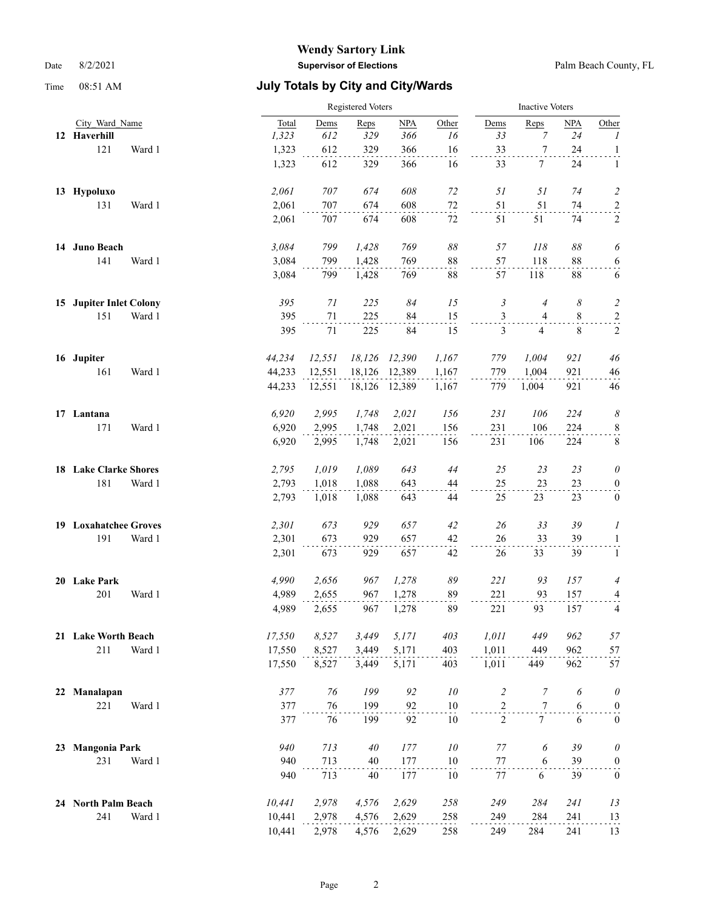|    |                              |        | Registered Voters |        |           |        |        | <b>Inactive Voters</b> |                  |            |                            |  |
|----|------------------------------|--------|-------------------|--------|-----------|--------|--------|------------------------|------------------|------------|----------------------------|--|
|    | City Ward Name               |        | Total             | Dems   | Reps      | NPA    | Other  | Dems                   | Reps             | <b>NPA</b> | Other                      |  |
|    | 12 Haverhill                 |        | 1,323             | 612    | 329       | 366    | 16     | 33                     | 7                | 24         | $\boldsymbol{l}$           |  |
|    | 121                          | Ward 1 | 1,323             | 612    | 329       | 366    | 16     | 33                     | $\tau$           | 24         | $\mathbf{1}$               |  |
|    |                              |        | 1,323             | 612    | 329       | 366    | 16     | 33                     | 7                | 24         | 1                          |  |
|    | 13 Hypoluxo                  |        | 2,061             | 707    | 674       | 608    | 72     | 51                     | 51               | 74         | $\overline{c}$             |  |
|    | 131                          | Ward 1 | 2,061             | 707    | 674       | 608    | $72\,$ | 51                     | 51               | 74         | $\overline{c}$             |  |
|    |                              |        | 2,061             | 707    | 674       | 608    | 72     | 51                     | 51               | 74         | $\sqrt{2}$                 |  |
|    | 14 Juno Beach                |        | 3,084             | 799    | 1,428     | 769    | 88     | 57                     | 118              | 88         | 6                          |  |
|    | 141                          | Ward 1 | 3,084             | 799    | 1,428     | 769    | 88     | 57                     | 118              | 88         | 6                          |  |
|    |                              |        | 3,084             | 799    | 1,428     | 769    | 88     | 57                     | 118              | 88         | 6                          |  |
|    | 15 Jupiter Inlet Colony      |        | 395               | 71     | 225       | 84     | 15     | 3                      | $\overline{4}$   | 8          | $\overline{c}$             |  |
|    | 151                          | Ward 1 | 395               | $71\,$ | 225       | 84     | 15     | 3                      | 4                | 8          | $\overline{a}$             |  |
|    |                              |        | 395               | 71     | 225       | 84     | 15     | 3                      | 4                | 8          | $\sqrt{2}$                 |  |
|    | 16 Jupiter                   |        | 44,234            | 12,551 | 18,126    | 12,390 | 1,167  | 779                    | 1,004            | 921        | 46                         |  |
|    | 161                          | Ward 1 | 44,233            | 12,551 | 18,126    | 12,389 | 1,167  | 779                    | 1,004            | 921        | 46                         |  |
|    |                              |        | 44,233            | 12,551 | 18,126    | 12,389 | 1,167  | 779                    | 1,004            | 921        | 46                         |  |
|    | 17 Lantana                   |        | 6,920             | 2,995  | 1,748     | 2,021  | 156    | 231                    | 106              | 224        | $\boldsymbol{\mathcal{S}}$ |  |
|    | 171                          | Ward 1 | 6,920             | 2,995  | 1,748     | 2,021  | 156    | 231                    | 106              | 224        | $\,8\,$                    |  |
|    |                              |        | 6,920             | 2,995  | 1,748     | 2,021  | 156    | 231                    | 106              | 224        | $\,8\,$                    |  |
|    | 18 Lake Clarke Shores        |        | 2,795             | 1,019  | 1,089     | 643    | 44     | 25                     | 23               | 23         | $\theta$                   |  |
|    | 181                          | Ward 1 | 2,793             | 1,018  | 1,088     | 643    | 44     | 25                     | 23               | 23         | $\boldsymbol{0}$           |  |
|    |                              |        | 2,793             | 1,018  | 1,088     | 643    | 44     | 25                     | 23               | 23         | $\boldsymbol{0}$           |  |
|    | <b>19 Loxahatchee Groves</b> |        | 2,301             | 673    | 929       | 657    | 42     | 26                     | 33               | 39         | $\boldsymbol{l}$           |  |
|    | 191                          | Ward 1 | 2,301             | 673    | 929       | 657    | 42     | 26                     | 33               | 39         | $\mathbf{1}$               |  |
|    |                              |        | 2,301             | 673    | 929       | 657    | 42     | 26                     | 33               | 39         | $\mathbf{1}$               |  |
|    | 20 Lake Park                 |        | 4,990             | 2,656  | 967       | 1,278  | 89     | 221                    | 93               | 157        | $\overline{4}$             |  |
|    | 201                          | Ward 1 | 4,989             | 2,655  | 967       | 1,278  | 89     | 221                    | 93               | 157        | 4                          |  |
|    |                              |        | 4,989             | 2,655  | 967       | 1,278  | 89     | 221                    | 93               | 157        | $\overline{4}$             |  |
|    | 21 Lake Worth Beach          |        | 17,550            | 8,527  | 3,449     | 5,171  | 403    | 1,011                  | 449              | 962        | 57                         |  |
|    | 211                          | Ward 1 | 17,550            | 8,527  | 3,449     | 5,171  | 403    | 1,011                  | 449              | 962        | 57                         |  |
|    |                              |        | 17,550            | 8,527  | 3,449     | 5,171  | 403    | 1,011                  | 449              | 962        | 57                         |  |
| 22 | Manalapan                    |        | 377               | 76     | 199       | 92     | 10     | $\overline{c}$         | $\boldsymbol{7}$ | 6          | $\boldsymbol{\theta}$      |  |
|    | 221                          | Ward 1 | 377               | 76     | 199       | 92     | 10     | $\overline{2}$         | $\boldsymbol{7}$ | 6          | $\boldsymbol{0}$           |  |
|    |                              |        | 377               | 76     | 199       | 92     | 10     | 2                      | $7\phantom{.0}$  | 6          | $\mathbf{0}$               |  |
| 23 | <b>Mangonia Park</b>         |        | 940               | 713    | $4\theta$ | 177    | $10\,$ | 77                     | 6                | 39         | $\theta$                   |  |
|    | 231                          | Ward 1 | 940               | 713    | $40\,$    | 177    | 10     | $77\,$                 | 6                | 39         | $\overline{0}$             |  |
|    |                              |        | 940               | 713    | 40        | 177    | 10     | 77                     | 6                | 39         | $\boldsymbol{0}$           |  |
|    | 24 North Palm Beach          |        | 10,441            | 2,978  | 4,576     | 2,629  | 258    | 249                    | 284              | 241        | 13                         |  |
|    | 241                          | Ward 1 | 10,441            | 2,978  | 4,576     | 2,629  | 258    | 249                    | 284              | 241        | 13                         |  |
|    |                              |        | 10,441            | 2,978  | 4,576     | 2,629  | 258    | 249                    | 284              | 241        | 13                         |  |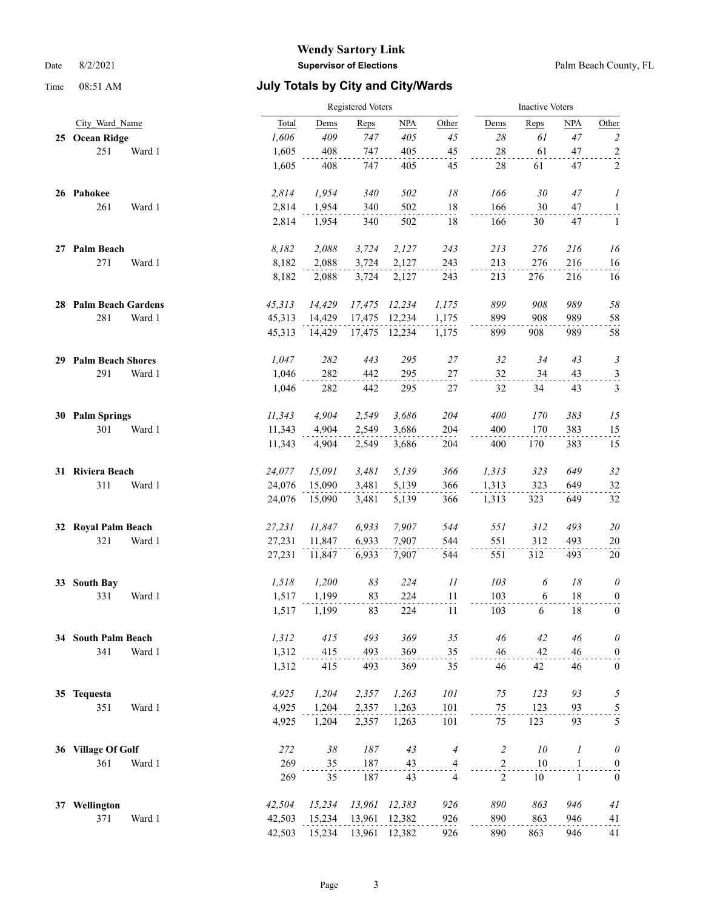|    |                          |        |        | Registered Voters |        |        |                            |                | <b>Inactive Voters</b> |              |                         |  |  |
|----|--------------------------|--------|--------|-------------------|--------|--------|----------------------------|----------------|------------------------|--------------|-------------------------|--|--|
|    | City Ward Name           |        | Total  | Dems              | Reps   | NPA    | Other                      | Dems           | Reps                   | <b>NPA</b>   | Other                   |  |  |
|    | 25 Ocean Ridge           |        | 1,606  | 409               | 747    | 405    | 45                         | 28             | 61                     | 47           | $\overline{c}$          |  |  |
|    | 251                      | Ward 1 | 1,605  | 408               | 747    | 405    | 45                         | $28\,$         | 61                     | 47           | $\overline{a}$          |  |  |
|    |                          |        | 1,605  | 408               | 747    | 405    | 45                         | 28             | 61                     | 47           | $\sqrt{2}$              |  |  |
|    | 26 Pahokee               |        | 2,814  | 1,954             | 340    | 502    | 18                         | 166            | 30                     | 47           | $\boldsymbol{l}$        |  |  |
|    | 261                      | Ward 1 | 2,814  | 1,954             | 340    | 502    | 18                         | 166            | 30                     | 47           | $\overline{a}$          |  |  |
|    |                          |        | 2,814  | 1,954             | 340    | 502    | 18                         | 166            | 30                     | 47           | 1                       |  |  |
|    | 27 Palm Beach            |        | 8,182  | 2,088             | 3,724  | 2,127  | 243                        | 213            | 276                    | 216          | 16                      |  |  |
|    | 271                      | Ward 1 | 8,182  | 2,088             | 3,724  | 2,127  | 243                        | 213            | 276                    | 216          | 16                      |  |  |
|    |                          |        | 8,182  | 2,088             | 3,724  | 2,127  | 243                        | 213            | 276                    | 216          | 16                      |  |  |
|    | 28 Palm Beach Gardens    |        | 45,313 | 14,429            | 17,475 | 12,234 | 1,175                      | 899            | 908                    | 989          | 58                      |  |  |
|    | 281                      | Ward 1 | 45,313 | 14,429            | 17,475 | 12,234 | 1,175                      | 899            | 908                    | 989          | 58                      |  |  |
|    |                          |        | 45,313 | 14,429            | 17,475 | 12,234 | 1,175                      | 899            | 908                    | 989          | 58                      |  |  |
| 29 | <b>Palm Beach Shores</b> |        | 1,047  | 282               | 443    | 295    | $27\,$                     | 32             | 34                     | 43           | $\mathfrak{Z}$          |  |  |
|    | 291                      | Ward 1 | 1,046  | 282               | 442    | 295    | $27\,$                     | 32             | 34                     | 43           | $\overline{\mathbf{3}}$ |  |  |
|    |                          |        | 1,046  | 282               | 442    | 295    | $27\,$                     | 32             | 34                     | 43           | $\mathfrak{Z}$          |  |  |
|    | 30 Palm Springs          |        | 11,343 | 4,904             | 2,549  | 3,686  | 204                        | 400            | 170                    | 383          | 15                      |  |  |
|    | 301                      | Ward 1 | 11,343 | 4,904             | 2,549  | 3,686  | 204                        | 400            | 170                    | 383          | 15                      |  |  |
|    |                          |        | 11,343 | 4,904             | 2,549  | 3,686  | 204                        | 400            | 170                    | 383          | 15                      |  |  |
|    | 31 Riviera Beach         |        | 24,077 | 15,091            | 3,481  | 5,139  | 366                        | 1,313          | 323                    | 649          | 32                      |  |  |
|    | 311                      | Ward 1 | 24,076 | 15,090            | 3,481  | 5,139  | 366                        | 1,313          | 323                    | 649          | 32                      |  |  |
|    |                          |        | 24,076 | 15,090            | 3,481  | 5,139  | 366                        | 1,313          | 323                    | 649          | 32                      |  |  |
| 32 | <b>Royal Palm Beach</b>  |        | 27,231 | 11,847            | 6,933  | 7,907  | 544                        | 551            | 312                    | 493          | 20                      |  |  |
|    | 321                      | Ward 1 | 27,231 | 11,847            | 6,933  | 7,907  | 544                        | 551            | 312                    | 493          | 20                      |  |  |
|    |                          |        | 27,231 | 11,847            | 6,933  | 7,907  | 544                        | 551            | 312                    | 493          | 20                      |  |  |
| 33 | <b>South Bay</b>         |        | 1,518  | 1,200             | 83     | 224    | $\mathfrak{1}\mathfrak{1}$ | 103            | 6                      | 18           | $\boldsymbol{\theta}$   |  |  |
|    | 331                      | Ward 1 | 1,517  | 1,199             | 83     | 224    | 11                         | 103            | 6                      | 18           | $\boldsymbol{0}$        |  |  |
|    |                          |        | 1,517  | 1,199             | 83     | 224    | 11                         | 103            | 6                      | 18           | $\mathbf{0}$            |  |  |
| 34 | <b>South Palm Beach</b>  |        | 1,312  | 415               | 493    | 369    | 35                         | 46             | 42                     | 46           | $\boldsymbol{\theta}$   |  |  |
|    | 341                      | Ward 1 | 1,312  | 415               | 493    | 369    | 35                         | 46             | 42                     | 46           | $\boldsymbol{0}$        |  |  |
|    |                          |        | 1,312  | 415               | 493    | 369    | 35                         | 46             | 42                     | 46           | $\boldsymbol{0}$        |  |  |
|    | 35 Tequesta              |        | 4,925  | 1,204             | 2,357  | 1,263  | 101                        | 75             | 123                    | 93           | 5                       |  |  |
|    | 351                      | Ward 1 | 4,925  | 1,204             | 2,357  | 1,263  | 101                        | 75             | 123                    | 93           | $\frac{5}{2}$           |  |  |
|    |                          |        | 4,925  | 1,204             | 2,357  | 1,263  | 101                        | 75             | 123                    | 93           | 5                       |  |  |
|    | 36 Village Of Golf       |        | 272    | $38\,$            | 187    | 43     | $\overline{4}$             | $\overline{c}$ | 10                     | 1            | $\boldsymbol{\theta}$   |  |  |
|    | 361                      | Ward 1 | 269    | 35                | 187    | 43     | $\frac{4}{1}$              | $\sqrt{2}$     | 10                     | $\mathbf{1}$ | $\boldsymbol{0}$        |  |  |
|    |                          |        | 269    | 35                | 187    | 43     | 4                          | $\overline{2}$ | 10                     | $\mathbf{1}$ | $\bf{0}$                |  |  |
|    | 37 Wellington            |        | 42,504 | 15,234            | 13,961 | 12,383 | 926                        | 890            | 863                    | 946          | 41                      |  |  |
|    | 371                      | Ward 1 | 42,503 | 15,234            | 13,961 | 12,382 | 926                        | 890            | 863                    | 946          | 41                      |  |  |
|    |                          |        | 42,503 | 15,234            | 13,961 | 12,382 | 926                        | 890            | 863                    | 946          | 41                      |  |  |